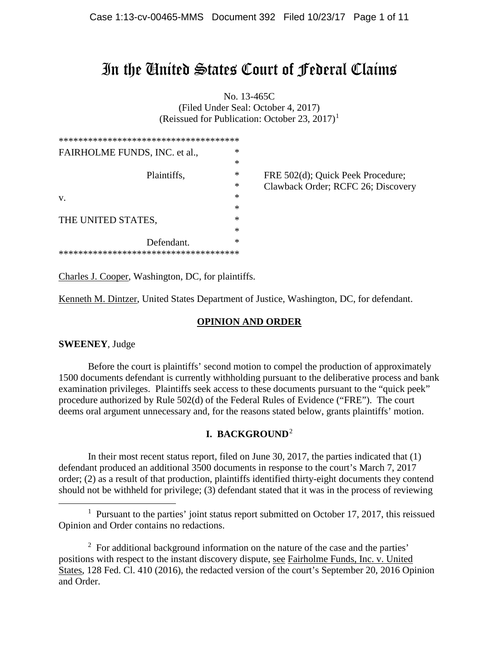# In the United States Court of Federal Claims

No. 13-465C (Filed Under Seal: October 4, 2017) (Reissued for Publication: October 23, 2017)<sup>1</sup>

| ************************************** |        |                                    |
|----------------------------------------|--------|------------------------------------|
| FAIRHOLME FUNDS, INC. et al.,          | *      |                                    |
|                                        | *      |                                    |
| Plaintiffs,                            | ∗      | FRE 502(d); Quick Peek Procedure;  |
|                                        | ∗      | Clawback Order; RCFC 26; Discovery |
| V.                                     | ∗      |                                    |
|                                        | ∗      |                                    |
| THE UNITED STATES,                     | ∗      |                                    |
|                                        | $\ast$ |                                    |
| Defendant.                             | $\ast$ |                                    |
| ********************************       |        |                                    |

Charles J. Cooper, Washington, DC, for plaintiffs.

Kenneth M. Dintzer, United States Department of Justice, Washington, DC, for defendant.

### **OPINION AND ORDER**

#### **SWEENEY**, Judge

Before the court is plaintiffs' second motion to compel the production of approximately 1500 documents defendant is currently withholding pursuant to the deliberative process and bank examination privileges. Plaintiffs seek access to these documents pursuant to the "quick peek" procedure authorized by Rule 502(d) of the Federal Rules of Evidence ("FRE"). The court deems oral argument unnecessary and, for the reasons stated below, grants plaintiffs' motion.

#### **I. BACKGROUND**<sup>2</sup>

In their most recent status report, filed on June 30, 2017, the parties indicated that (1) defendant produced an additional 3500 documents in response to the court's March 7, 2017 order; (2) as a result of that production, plaintiffs identified thirty-eight documents they contend should not be withheld for privilege; (3) defendant stated that it was in the process of reviewing

<sup>2</sup> For additional background information on the nature of the case and the parties' positions with respect to the instant discovery dispute, see Fairholme Funds, Inc. v. United States, 128 Fed. Cl. 410 (2016), the redacted version of the court's September 20, 2016 Opinion and Order.

<sup>&</sup>lt;sup>1</sup> Pursuant to the parties' joint status report submitted on October 17, 2017, this reissued Opinion and Order contains no redactions.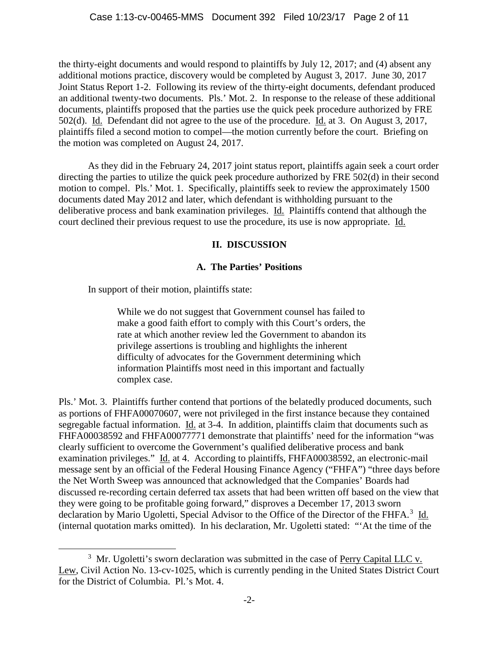the thirty-eight documents and would respond to plaintiffs by July 12, 2017; and (4) absent any additional motions practice, discovery would be completed by August 3, 2017. June 30, 2017 Joint Status Report 1-2. Following its review of the thirty-eight documents, defendant produced an additional twenty-two documents. Pls.' Mot. 2. In response to the release of these additional documents, plaintiffs proposed that the parties use the quick peek procedure authorized by FRE 502(d). Id. Defendant did not agree to the use of the procedure. Id. at 3. On August 3, 2017, plaintiffs filed a second motion to compel—the motion currently before the court. Briefing on the motion was completed on August 24, 2017.

As they did in the February 24, 2017 joint status report, plaintiffs again seek a court order directing the parties to utilize the quick peek procedure authorized by FRE 502(d) in their second motion to compel. Pls.' Mot. 1. Specifically, plaintiffs seek to review the approximately 1500 documents dated May 2012 and later, which defendant is withholding pursuant to the deliberative process and bank examination privileges. Id. Plaintiffs contend that although the court declined their previous request to use the procedure, its use is now appropriate. Id.

## **II. DISCUSSION**

## **A. The Parties' Positions**

In support of their motion, plaintiffs state:

While we do not suggest that Government counsel has failed to make a good faith effort to comply with this Court's orders, the rate at which another review led the Government to abandon its privilege assertions is troubling and highlights the inherent difficulty of advocates for the Government determining which information Plaintiffs most need in this important and factually complex case.

Pls.' Mot. 3. Plaintiffs further contend that portions of the belatedly produced documents, such as portions of FHFA00070607, were not privileged in the first instance because they contained segregable factual information. Id. at 3-4. In addition, plaintiffs claim that documents such as FHFA00038592 and FHFA00077771 demonstrate that plaintiffs' need for the information "was clearly sufficient to overcome the Government's qualified deliberative process and bank examination privileges." Id. at 4. According to plaintiffs, FHFA00038592, an electronic-mail message sent by an official of the Federal Housing Finance Agency ("FHFA") "three days before the Net Worth Sweep was announced that acknowledged that the Companies' Boards had discussed re-recording certain deferred tax assets that had been written off based on the view that they were going to be profitable going forward," disproves a December 17, 2013 sworn declaration by Mario Ugoletti, Special Advisor to the Office of the Director of the FHFA.<sup>3</sup> Id. (internal quotation marks omitted). In his declaration, Mr. Ugoletti stated: "'At the time of the

 $\frac{1}{3}$  $3\,$  Mr. Ugoletti's sworn declaration was submitted in the case of Perry Capital LLC v. Lew, Civil Action No. 13-cv-1025, which is currently pending in the United States District Court for the District of Columbia. Pl.'s Mot. 4.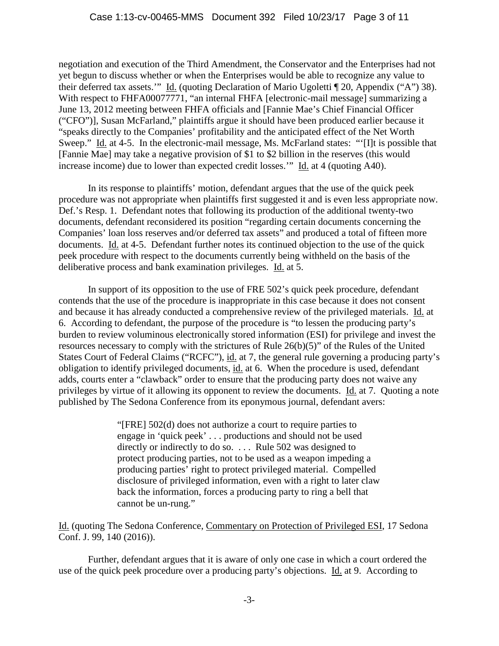negotiation and execution of the Third Amendment, the Conservator and the Enterprises had not yet begun to discuss whether or when the Enterprises would be able to recognize any value to their deferred tax assets.'" Id. (quoting Declaration of Mario Ugoletti ¶ 20, Appendix ("A") 38). With respect to FHFA00077771, "an internal FHFA [electronic-mail message] summarizing a June 13, 2012 meeting between FHFA officials and [Fannie Mae's Chief Financial Officer ("CFO")], Susan McFarland," plaintiffs argue it should have been produced earlier because it "speaks directly to the Companies' profitability and the anticipated effect of the Net Worth Sweep." Id. at 4-5. In the electronic-mail message, Ms. McFarland states: "'[I]t is possible that [Fannie Mae] may take a negative provision of \$1 to \$2 billion in the reserves (this would increase income) due to lower than expected credit losses.'"  $\underline{Id}$  at 4 (quoting A40).

In its response to plaintiffs' motion, defendant argues that the use of the quick peek procedure was not appropriate when plaintiffs first suggested it and is even less appropriate now. Def.'s Resp. 1. Defendant notes that following its production of the additional twenty-two documents, defendant reconsidered its position "regarding certain documents concerning the Companies' loan loss reserves and/or deferred tax assets" and produced a total of fifteen more documents. Id. at 4-5. Defendant further notes its continued objection to the use of the quick peek procedure with respect to the documents currently being withheld on the basis of the deliberative process and bank examination privileges. Id. at 5.

In support of its opposition to the use of FRE 502's quick peek procedure, defendant contends that the use of the procedure is inappropriate in this case because it does not consent and because it has already conducted a comprehensive review of the privileged materials. Id. at 6. According to defendant, the purpose of the procedure is "to lessen the producing party's burden to review voluminous electronically stored information (ESI) for privilege and invest the resources necessary to comply with the strictures of Rule 26(b)(5)" of the Rules of the United States Court of Federal Claims ("RCFC"), id. at 7, the general rule governing a producing party's obligation to identify privileged documents, id. at 6. When the procedure is used, defendant adds, courts enter a "clawback" order to ensure that the producing party does not waive any privileges by virtue of it allowing its opponent to review the documents. Id. at 7. Quoting a note published by The Sedona Conference from its eponymous journal, defendant avers:

> "[FRE] 502(d) does not authorize a court to require parties to engage in 'quick peek' . . . productions and should not be used directly or indirectly to do so. . . . Rule 502 was designed to protect producing parties, not to be used as a weapon impeding a producing parties' right to protect privileged material. Compelled disclosure of privileged information, even with a right to later claw back the information, forces a producing party to ring a bell that cannot be un-rung."

Id. (quoting The Sedona Conference, Commentary on Protection of Privileged ESI, 17 Sedona Conf. J. 99, 140 (2016)).

Further, defendant argues that it is aware of only one case in which a court ordered the use of the quick peek procedure over a producing party's objections. Id. at 9. According to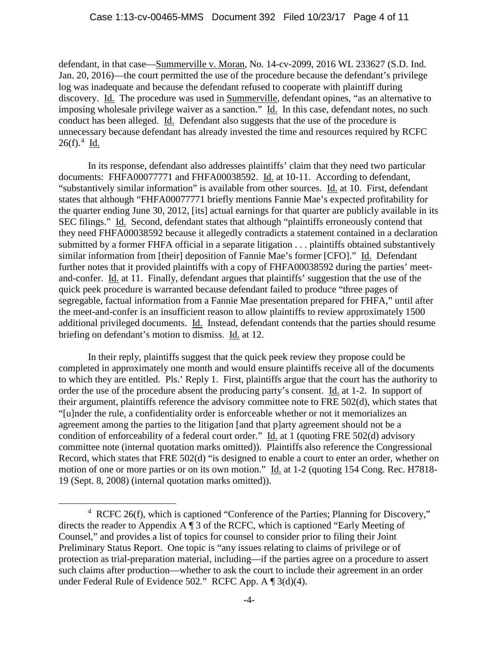defendant, in that case—Summerville v. Moran, No. 14-cv-2099, 2016 WL 233627 (S.D. Ind. Jan. 20, 2016)—the court permitted the use of the procedure because the defendant's privilege log was inadequate and because the defendant refused to cooperate with plaintiff during discovery. Id. The procedure was used in Summerville, defendant opines, "as an alternative to imposing wholesale privilege waiver as a sanction." Id. In this case, defendant notes, no such conduct has been alleged. Id. Defendant also suggests that the use of the procedure is unnecessary because defendant has already invested the time and resources required by RCFC  $26(f).^{4}$  <u>Id.</u>

In its response, defendant also addresses plaintiffs' claim that they need two particular documents: FHFA00077771 and FHFA00038592. Id. at 10-11. According to defendant, "substantively similar information" is available from other sources. Id. at 10. First, defendant states that although "FHFA00077771 briefly mentions Fannie Mae's expected profitability for the quarter ending June 30, 2012, [its] actual earnings for that quarter are publicly available in its SEC filings." Id. Second, defendant states that although "plaintiffs erroneously contend that they need FHFA00038592 because it allegedly contradicts a statement contained in a declaration submitted by a former FHFA official in a separate litigation . . . plaintiffs obtained substantively similar information from [their] deposition of Fannie Mae's former [CFO]." Id. Defendant further notes that it provided plaintiffs with a copy of FHFA00038592 during the parties' meetand-confer. Id. at 11. Finally, defendant argues that plaintiffs' suggestion that the use of the quick peek procedure is warranted because defendant failed to produce "three pages of segregable, factual information from a Fannie Mae presentation prepared for FHFA," until after the meet-and-confer is an insufficient reason to allow plaintiffs to review approximately 1500 additional privileged documents. Id. Instead, defendant contends that the parties should resume briefing on defendant's motion to dismiss. Id. at 12.

In their reply, plaintiffs suggest that the quick peek review they propose could be completed in approximately one month and would ensure plaintiffs receive all of the documents to which they are entitled. Pls.' Reply 1. First, plaintiffs argue that the court has the authority to order the use of the procedure absent the producing party's consent. Id. at 1-2. In support of their argument, plaintiffs reference the advisory committee note to FRE 502(d), which states that "[u]nder the rule, a confidentiality order is enforceable whether or not it memorializes an agreement among the parties to the litigation [and that p]arty agreement should not be a condition of enforceability of a federal court order." Id. at 1 (quoting FRE 502(d) advisory committee note (internal quotation marks omitted)). Plaintiffs also reference the Congressional Record, which states that FRE 502(d) "is designed to enable a court to enter an order, whether on motion of one or more parties or on its own motion." Id. at 1-2 (quoting 154 Cong. Rec. H7818-19 (Sept. 8, 2008) (internal quotation marks omitted)).

 $\frac{1}{4}$  RCFC 26(f), which is captioned "Conference of the Parties; Planning for Discovery," directs the reader to Appendix A ¶ 3 of the RCFC, which is captioned "Early Meeting of Counsel," and provides a list of topics for counsel to consider prior to filing their Joint Preliminary Status Report. One topic is "any issues relating to claims of privilege or of protection as trial-preparation material, including—if the parties agree on a procedure to assert such claims after production—whether to ask the court to include their agreement in an order under Federal Rule of Evidence 502." RCFC App. A ¶ 3(d)(4).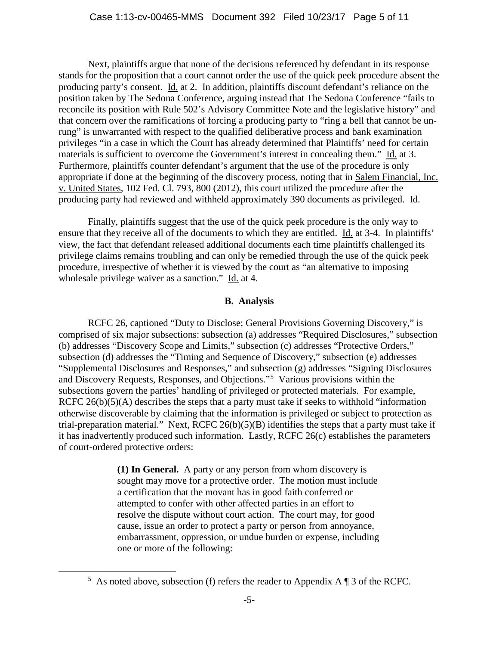Next, plaintiffs argue that none of the decisions referenced by defendant in its response stands for the proposition that a court cannot order the use of the quick peek procedure absent the producing party's consent. Id. at 2. In addition, plaintiffs discount defendant's reliance on the position taken by The Sedona Conference, arguing instead that The Sedona Conference "fails to reconcile its position with Rule 502's Advisory Committee Note and the legislative history" and that concern over the ramifications of forcing a producing party to "ring a bell that cannot be unrung" is unwarranted with respect to the qualified deliberative process and bank examination privileges "in a case in which the Court has already determined that Plaintiffs' need for certain materials is sufficient to overcome the Government's interest in concealing them." Id. at 3. Furthermore, plaintiffs counter defendant's argument that the use of the procedure is only appropriate if done at the beginning of the discovery process, noting that in Salem Financial, Inc. v. United States, 102 Fed. Cl. 793, 800 (2012), this court utilized the procedure after the producing party had reviewed and withheld approximately 390 documents as privileged. Id.

Finally, plaintiffs suggest that the use of the quick peek procedure is the only way to ensure that they receive all of the documents to which they are entitled. Id. at 3-4. In plaintiffs' view, the fact that defendant released additional documents each time plaintiffs challenged its privilege claims remains troubling and can only be remedied through the use of the quick peek procedure, irrespective of whether it is viewed by the court as "an alternative to imposing wholesale privilege waiver as a sanction." Id. at 4.

#### **B. Analysis**

RCFC 26, captioned "Duty to Disclose; General Provisions Governing Discovery," is comprised of six major subsections: subsection (a) addresses "Required Disclosures," subsection (b) addresses "Discovery Scope and Limits," subsection (c) addresses "Protective Orders," subsection (d) addresses the "Timing and Sequence of Discovery," subsection (e) addresses "Supplemental Disclosures and Responses," and subsection (g) addresses "Signing Disclosures and Discovery Requests, Responses, and Objections."<sup>5</sup> Various provisions within the subsections govern the parties' handling of privileged or protected materials. For example, RCFC  $26(b)(5)(A)$  describes the steps that a party must take if seeks to withhold "information" otherwise discoverable by claiming that the information is privileged or subject to protection as trial-preparation material." Next, RCFC 26(b)(5)(B) identifies the steps that a party must take if it has inadvertently produced such information. Lastly, RCFC 26(c) establishes the parameters of court-ordered protective orders:

> **(1) In General.** A party or any person from whom discovery is sought may move for a protective order. The motion must include a certification that the movant has in good faith conferred or attempted to confer with other affected parties in an effort to resolve the dispute without court action. The court may, for good cause, issue an order to protect a party or person from annoyance, embarrassment, oppression, or undue burden or expense, including one or more of the following:

 $\frac{1}{5}$ <sup>5</sup> As noted above, subsection (f) refers the reader to Appendix A  $\P$  3 of the RCFC.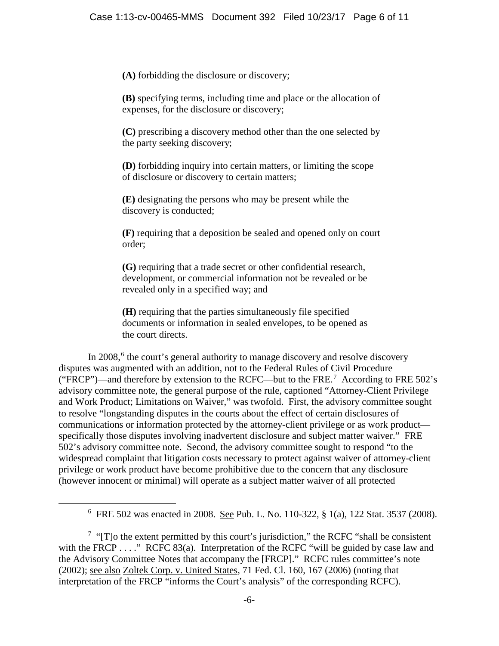**(A)** forbidding the disclosure or discovery;

 **(B)** specifying terms, including time and place or the allocation of expenses, for the disclosure or discovery;

 **(C)** prescribing a discovery method other than the one selected by the party seeking discovery;

 **(D)** forbidding inquiry into certain matters, or limiting the scope of disclosure or discovery to certain matters;

 **(E)** designating the persons who may be present while the discovery is conducted;

 **(F)** requiring that a deposition be sealed and opened only on court order;

 **(G)** requiring that a trade secret or other confidential research, development, or commercial information not be revealed or be revealed only in a specified way; and

 **(H)** requiring that the parties simultaneously file specified documents or information in sealed envelopes, to be opened as the court directs.

In 2008, $6$  the court's general authority to manage discovery and resolve discovery disputes was augmented with an addition, not to the Federal Rules of Civil Procedure ("FRCP")—and therefore by extension to the RCFC—but to the FRE.<sup>7</sup> According to FRE 502's advisory committee note, the general purpose of the rule, captioned "Attorney-Client Privilege and Work Product; Limitations on Waiver," was twofold. First, the advisory committee sought to resolve "longstanding disputes in the courts about the effect of certain disclosures of communications or information protected by the attorney-client privilege or as work product specifically those disputes involving inadvertent disclosure and subject matter waiver." FRE 502's advisory committee note. Second, the advisory committee sought to respond "to the widespread complaint that litigation costs necessary to protect against waiver of attorney-client privilege or work product have become prohibitive due to the concern that any disclosure (however innocent or minimal) will operate as a subject matter waiver of all protected

 <sup>6</sup> FRE 502 was enacted in 2008. See Pub. L. No. 110-322, § 1(a), 122 Stat. 3537 (2008).

 $7$  "[T]o the extent permitted by this court's jurisdiction," the RCFC "shall be consistent with the FRCP  $\dots$ ." RCFC 83(a). Interpretation of the RCFC "will be guided by case law and the Advisory Committee Notes that accompany the [FRCP]." RCFC rules committee's note (2002); see also Zoltek Corp. v. United States, 71 Fed. Cl. 160, 167 (2006) (noting that interpretation of the FRCP "informs the Court's analysis" of the corresponding RCFC).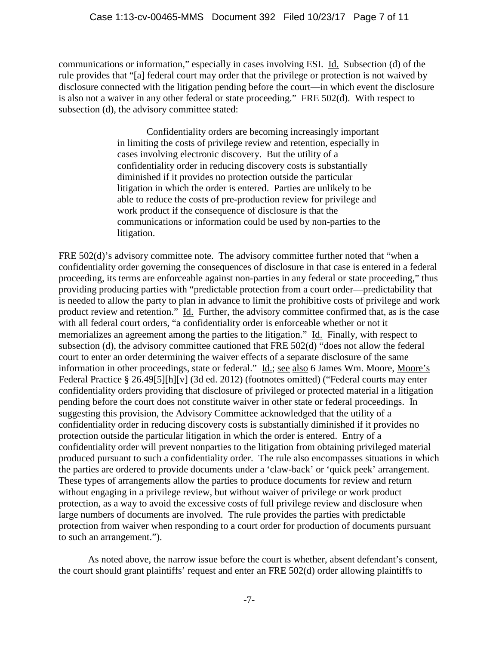communications or information," especially in cases involving ESI. Id. Subsection (d) of the rule provides that "[a] federal court may order that the privilege or protection is not waived by disclosure connected with the litigation pending before the court—in which event the disclosure is also not a waiver in any other federal or state proceeding." FRE 502(d). With respect to subsection (d), the advisory committee stated:

> Confidentiality orders are becoming increasingly important in limiting the costs of privilege review and retention, especially in cases involving electronic discovery. But the utility of a confidentiality order in reducing discovery costs is substantially diminished if it provides no protection outside the particular litigation in which the order is entered. Parties are unlikely to be able to reduce the costs of pre-production review for privilege and work product if the consequence of disclosure is that the communications or information could be used by non-parties to the litigation.

FRE 502(d)'s advisory committee note. The advisory committee further noted that "when a confidentiality order governing the consequences of disclosure in that case is entered in a federal proceeding, its terms are enforceable against non-parties in any federal or state proceeding," thus providing producing parties with "predictable protection from a court order—predictability that is needed to allow the party to plan in advance to limit the prohibitive costs of privilege and work product review and retention." Id. Further, the advisory committee confirmed that, as is the case with all federal court orders, "a confidentiality order is enforceable whether or not it memorializes an agreement among the parties to the litigation." Id. Finally, with respect to subsection (d), the advisory committee cautioned that FRE 502(d) "does not allow the federal court to enter an order determining the waiver effects of a separate disclosure of the same information in other proceedings, state or federal." Id.; see also 6 James Wm. Moore, Moore's Federal Practice § 26.49[5][h][v] (3d ed. 2012) (footnotes omitted) ("Federal courts may enter confidentiality orders providing that disclosure of privileged or protected material in a litigation pending before the court does not constitute waiver in other state or federal proceedings. In suggesting this provision, the Advisory Committee acknowledged that the utility of a confidentiality order in reducing discovery costs is substantially diminished if it provides no protection outside the particular litigation in which the order is entered. Entry of a confidentiality order will prevent nonparties to the litigation from obtaining privileged material produced pursuant to such a confidentiality order. The rule also encompasses situations in which the parties are ordered to provide documents under a 'claw-back' or 'quick peek' arrangement. These types of arrangements allow the parties to produce documents for review and return without engaging in a privilege review, but without waiver of privilege or work product protection, as a way to avoid the excessive costs of full privilege review and disclosure when large numbers of documents are involved. The rule provides the parties with predictable protection from waiver when responding to a court order for production of documents pursuant to such an arrangement.").

As noted above, the narrow issue before the court is whether, absent defendant's consent, the court should grant plaintiffs' request and enter an FRE 502(d) order allowing plaintiffs to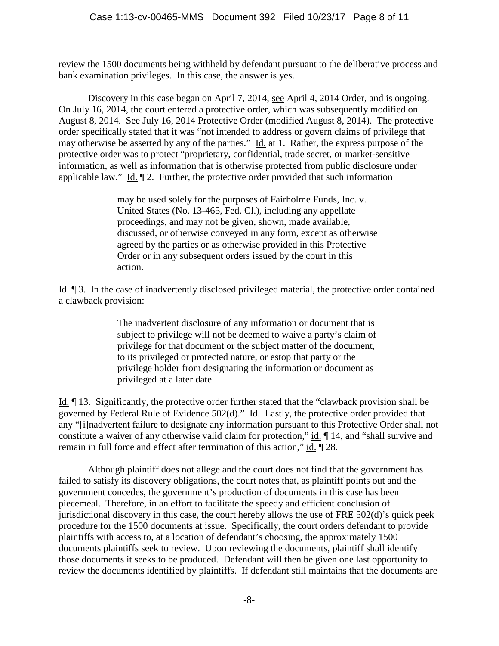review the 1500 documents being withheld by defendant pursuant to the deliberative process and bank examination privileges. In this case, the answer is yes.

Discovery in this case began on April 7, 2014, see April 4, 2014 Order, and is ongoing. On July 16, 2014, the court entered a protective order, which was subsequently modified on August 8, 2014. See July 16, 2014 Protective Order (modified August 8, 2014). The protective order specifically stated that it was "not intended to address or govern claims of privilege that may otherwise be asserted by any of the parties." Id. at 1. Rather, the express purpose of the protective order was to protect "proprietary, confidential, trade secret, or market-sensitive information, as well as information that is otherwise protected from public disclosure under applicable law." Id. ¶ 2. Further, the protective order provided that such information

> may be used solely for the purposes of Fairholme Funds, Inc. v. United States (No. 13-465, Fed. Cl.), including any appellate proceedings, and may not be given, shown, made available, discussed, or otherwise conveyed in any form, except as otherwise agreed by the parties or as otherwise provided in this Protective Order or in any subsequent orders issued by the court in this action.

Id. ¶ 3. In the case of inadvertently disclosed privileged material, the protective order contained a clawback provision:

> The inadvertent disclosure of any information or document that is subject to privilege will not be deemed to waive a party's claim of privilege for that document or the subject matter of the document, to its privileged or protected nature, or estop that party or the privilege holder from designating the information or document as privileged at a later date.

Id. ¶ 13. Significantly, the protective order further stated that the "clawback provision shall be governed by Federal Rule of Evidence 502(d)." Id. Lastly, the protective order provided that any "[i]nadvertent failure to designate any information pursuant to this Protective Order shall not constitute a waiver of any otherwise valid claim for protection," id. ¶ 14, and "shall survive and remain in full force and effect after termination of this action," id. 128.

Although plaintiff does not allege and the court does not find that the government has failed to satisfy its discovery obligations, the court notes that, as plaintiff points out and the government concedes, the government's production of documents in this case has been piecemeal. Therefore, in an effort to facilitate the speedy and efficient conclusion of jurisdictional discovery in this case, the court hereby allows the use of FRE 502(d)'s quick peek procedure for the 1500 documents at issue. Specifically, the court orders defendant to provide plaintiffs with access to, at a location of defendant's choosing, the approximately 1500 documents plaintiffs seek to review. Upon reviewing the documents, plaintiff shall identify those documents it seeks to be produced. Defendant will then be given one last opportunity to review the documents identified by plaintiffs. If defendant still maintains that the documents are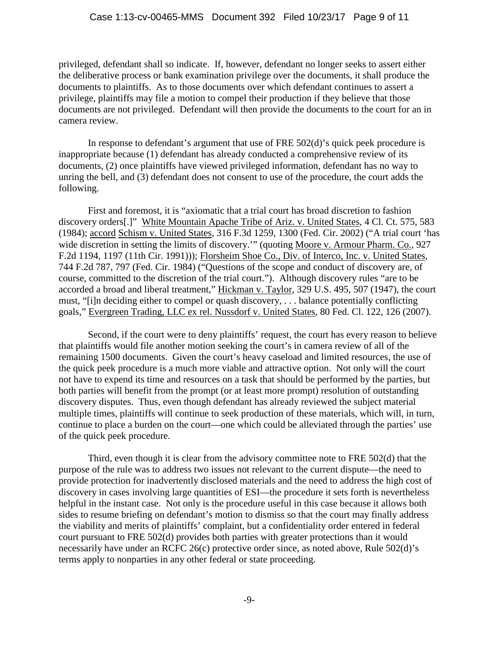privileged, defendant shall so indicate. If, however, defendant no longer seeks to assert either the deliberative process or bank examination privilege over the documents, it shall produce the documents to plaintiffs. As to those documents over which defendant continues to assert a privilege, plaintiffs may file a motion to compel their production if they believe that those documents are not privileged. Defendant will then provide the documents to the court for an in camera review.

In response to defendant's argument that use of FRE 502(d)'s quick peek procedure is inappropriate because (1) defendant has already conducted a comprehensive review of its documents, (2) once plaintiffs have viewed privileged information, defendant has no way to unring the bell, and (3) defendant does not consent to use of the procedure, the court adds the following.

First and foremost, it is "axiomatic that a trial court has broad discretion to fashion discovery orders[.]" White Mountain Apache Tribe of Ariz. v. United States, 4 Cl. Ct. 575, 583 (1984); accord Schism v. United States, 316 F.3d 1259, 1300 (Fed. Cir. 2002) ("A trial court 'has wide discretion in setting the limits of discovery." (quoting Moore v. Armour Pharm. Co., 927 F.2d 1194, 1197 (11th Cir. 1991))); Florsheim Shoe Co., Div. of Interco, Inc. v. United States, 744 F.2d 787, 797 (Fed. Cir. 1984) ("Questions of the scope and conduct of discovery are, of course, committed to the discretion of the trial court."). Although discovery rules "are to be accorded a broad and liberal treatment," Hickman v. Taylor, 329 U.S. 495, 507 (1947), the court must, "[i]n deciding either to compel or quash discovery, . . . balance potentially conflicting goals," Evergreen Trading, LLC ex rel. Nussdorf v. United States, 80 Fed. Cl. 122, 126 (2007).

Second, if the court were to deny plaintiffs' request, the court has every reason to believe that plaintiffs would file another motion seeking the court's in camera review of all of the remaining 1500 documents. Given the court's heavy caseload and limited resources, the use of the quick peek procedure is a much more viable and attractive option. Not only will the court not have to expend its time and resources on a task that should be performed by the parties, but both parties will benefit from the prompt (or at least more prompt) resolution of outstanding discovery disputes. Thus, even though defendant has already reviewed the subject material multiple times, plaintiffs will continue to seek production of these materials, which will, in turn, continue to place a burden on the court—one which could be alleviated through the parties' use of the quick peek procedure.

Third, even though it is clear from the advisory committee note to FRE 502(d) that the purpose of the rule was to address two issues not relevant to the current dispute—the need to provide protection for inadvertently disclosed materials and the need to address the high cost of discovery in cases involving large quantities of ESI—the procedure it sets forth is nevertheless helpful in the instant case. Not only is the procedure useful in this case because it allows both sides to resume briefing on defendant's motion to dismiss so that the court may finally address the viability and merits of plaintiffs' complaint, but a confidentiality order entered in federal court pursuant to FRE 502(d) provides both parties with greater protections than it would necessarily have under an RCFC 26(c) protective order since, as noted above, Rule 502(d)'s terms apply to nonparties in any other federal or state proceeding.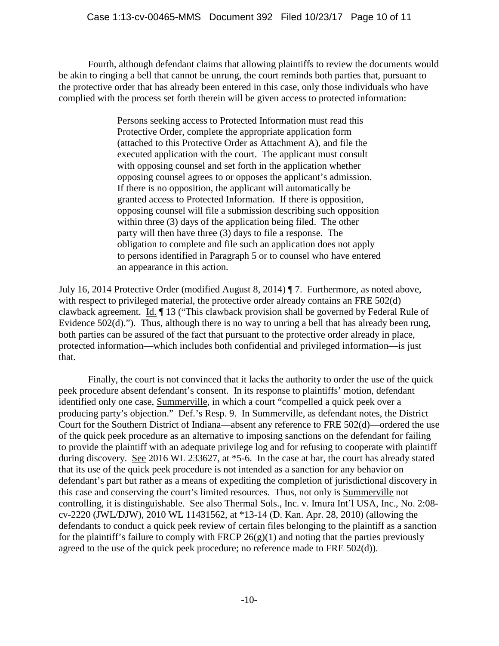Fourth, although defendant claims that allowing plaintiffs to review the documents would be akin to ringing a bell that cannot be unrung, the court reminds both parties that, pursuant to the protective order that has already been entered in this case, only those individuals who have complied with the process set forth therein will be given access to protected information:

> Persons seeking access to Protected Information must read this Protective Order, complete the appropriate application form (attached to this Protective Order as Attachment A), and file the executed application with the court. The applicant must consult with opposing counsel and set forth in the application whether opposing counsel agrees to or opposes the applicant's admission. If there is no opposition, the applicant will automatically be granted access to Protected Information. If there is opposition, opposing counsel will file a submission describing such opposition within three (3) days of the application being filed. The other party will then have three (3) days to file a response. The obligation to complete and file such an application does not apply to persons identified in Paragraph 5 or to counsel who have entered an appearance in this action.

July 16, 2014 Protective Order (modified August 8, 2014) ¶ 7. Furthermore, as noted above, with respect to privileged material, the protective order already contains an FRE 502(d) clawback agreement. Id. ¶ 13 ("This clawback provision shall be governed by Federal Rule of Evidence 502(d)."). Thus, although there is no way to unring a bell that has already been rung, both parties can be assured of the fact that pursuant to the protective order already in place, protected information—which includes both confidential and privileged information—is just that.

Finally, the court is not convinced that it lacks the authority to order the use of the quick peek procedure absent defendant's consent. In its response to plaintiffs' motion, defendant identified only one case, Summerville, in which a court "compelled a quick peek over a producing party's objection." Def.'s Resp. 9. In Summerville, as defendant notes, the District Court for the Southern District of Indiana—absent any reference to FRE 502(d)—ordered the use of the quick peek procedure as an alternative to imposing sanctions on the defendant for failing to provide the plaintiff with an adequate privilege log and for refusing to cooperate with plaintiff during discovery. See 2016 WL 233627, at \*5-6. In the case at bar, the court has already stated that its use of the quick peek procedure is not intended as a sanction for any behavior on defendant's part but rather as a means of expediting the completion of jurisdictional discovery in this case and conserving the court's limited resources. Thus, not only is Summerville not controlling, it is distinguishable. See also Thermal Sols., Inc. v. Imura Int'l USA, Inc., No. 2:08 cv-2220 (JWL/DJW), 2010 WL 11431562, at \*13-14 (D. Kan. Apr. 28, 2010) (allowing the defendants to conduct a quick peek review of certain files belonging to the plaintiff as a sanction for the plaintiff's failure to comply with FRCP  $26(g)(1)$  and noting that the parties previously agreed to the use of the quick peek procedure; no reference made to FRE 502(d)).